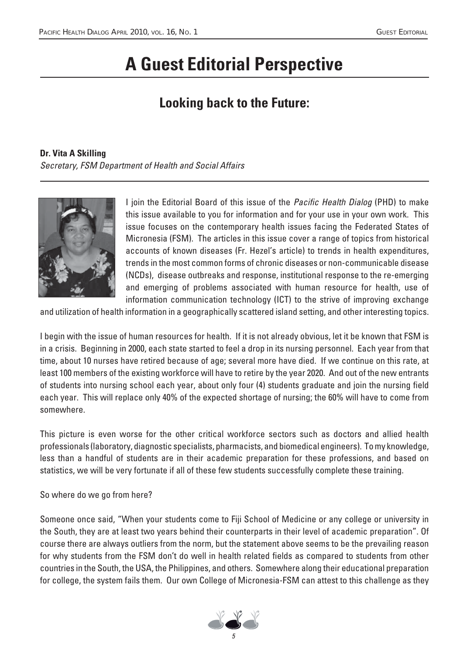## **A Guest Editorial Perspective**

## **Looking back to the Future:**

## **Dr. Vita A Skilling**

Secretary, FSM Department of Health and Social Affairs



I join the Editorial Board of this issue of the *Pacific Health Dialog* (PHD) to make this issue available to you for information and for your use in your own work. This issue focuses on the contemporary health issues facing the Federated States of Micronesia (FSM). The articles in this issue cover a range of topics from historical accounts of known diseases (Fr. Hezel's article) to trends in health expenditures, trends in the most common forms of chronic diseases or non-communicable disease (NCDs), disease outbreaks and response, institutional response to the re-emerging and emerging of problems associated with human resource for health, use of information communication technology (ICT) to the strive of improving exchange

and utilization of health information in a geographically scattered island setting, and other interesting topics.

I begin with the issue of human resources for health. If it is not already obvious, let it be known that FSM is in a crisis. Beginning in 2000, each state started to feel a drop in its nursing personnel. Each year from that time, about 10 nurses have retired because of age; several more have died. If we continue on this rate, at least 100 members of the existing workforce will have to retire by the year 2020. And out of the new entrants of students into nursing school each year, about only four (4) students graduate and join the nursing field each year. This will replace only 40% of the expected shortage of nursing; the 60% will have to come from somewhere.

This picture is even worse for the other critical workforce sectors such as doctors and allied health professionals (laboratory, diagnostic specialists, pharmacists, and biomedical engineers). To my knowledge, less than a handful of students are in their academic preparation for these professions, and based on statistics, we will be very fortunate if all of these few students successfully complete these training.

So where do we go from here?

Someone once said, "When your students come to Fiji School of Medicine or any college or university in the South, they are at least two years behind their counterparts in their level of academic preparation". Of course there are always outliers from the norm, but the statement above seems to be the prevailing reason for why students from the FSM don't do well in health related fields as compared to students from other countries in the South, the USA, the Philippines, and others. Somewhere along their educational preparation for college, the system fails them. Our own College of Micronesia-FSM can attest to this challenge as they

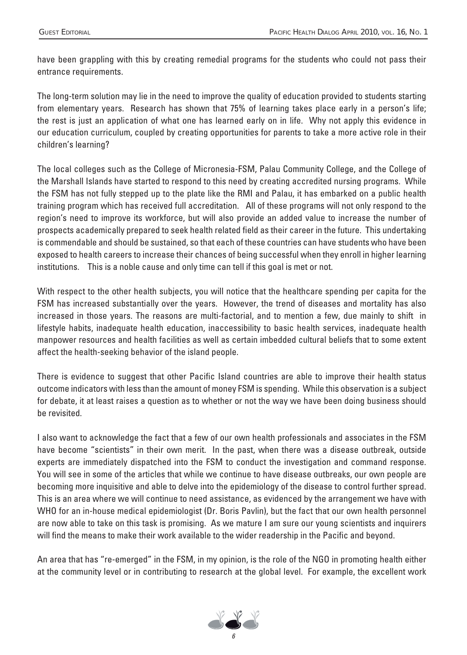have been grappling with this by creating remedial programs for the students who could not pass their entrance requirements.

The long-term solution may lie in the need to improve the quality of education provided to students starting from elementary years. Research has shown that 75% of learning takes place early in a person's life; the rest is just an application of what one has learned early on in life. Why not apply this evidence in our education curriculum, coupled by creating opportunities for parents to take a more active role in their children's learning?

The local colleges such as the College of Micronesia-FSM, Palau Community College, and the College of the Marshall Islands have started to respond to this need by creating accredited nursing programs. While the FSM has not fully stepped up to the plate like the RMI and Palau, it has embarked on a public health training program which has received full accreditation. All of these programs will not only respond to the region's need to improve its workforce, but will also provide an added value to increase the number of prospects academically prepared to seek health related field as their career in the future. This undertaking is commendable and should be sustained, so that each of these countries can have students who have been exposed to health careers to increase their chances of being successful when they enroll in higher learning institutions. This is a noble cause and only time can tell if this goal is met or not.

With respect to the other health subjects, you will notice that the healthcare spending per capita for the FSM has increased substantially over the years. However, the trend of diseases and mortality has also increased in those years. The reasons are multi-factorial, and to mention a few, due mainly to shift in lifestyle habits, inadequate health education, inaccessibility to basic health services, inadequate health manpower resources and health facilities as well as certain imbedded cultural beliefs that to some extent affect the health-seeking behavior of the island people.

There is evidence to suggest that other Pacific Island countries are able to improve their health status outcome indicators with less than the amount of money FSM is spending. While this observation is a subject for debate, it at least raises a question as to whether or not the way we have been doing business should be revisited.

I also want to acknowledge the fact that a few of our own health professionals and associates in the FSM have become "scientists" in their own merit. In the past, when there was a disease outbreak, outside experts are immediately dispatched into the FSM to conduct the investigation and command response. You will see in some of the articles that while we continue to have disease outbreaks, our own people are becoming more inquisitive and able to delve into the epidemiology of the disease to control further spread. This is an area where we will continue to need assistance, as evidenced by the arrangement we have with WHO for an in-house medical epidemiologist (Dr. Boris Pavlin), but the fact that our own health personnel are now able to take on this task is promising. As we mature I am sure our young scientists and inquirers will find the means to make their work available to the wider readership in the Pacific and beyond.

An area that has "re-emerged" in the FSM, in my opinion, is the role of the NGO in promoting health either at the community level or in contributing to research at the global level. For example, the excellent work